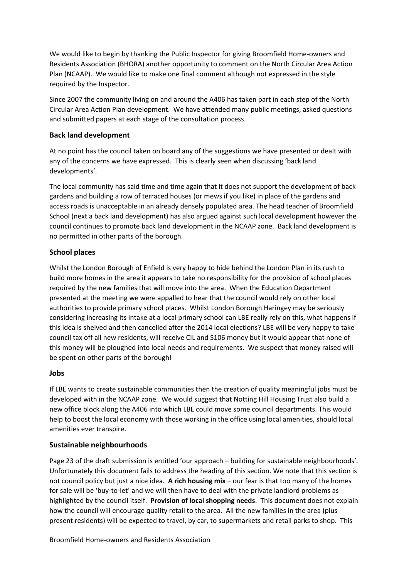We would like to begin by thanking the Public Inspector for giving Broomfield Home-owners and Residents Association (BHORA) another opportunity to comment on the North Circular Area Action Plan (NCAAP). We would like to make one final comment although not expressed in the style required by the Inspector.

Since 2007 the community living on and around the A406 has taken part in each step of the North Circular Area Action Plan development. We have attended many public meetings, asked questions and submitted papers at each stage of the consultation process.

## **Back land development**

At no point has the council taken on board any of the suggestions we have presented or dealt with any of the concerns we have expressed. This is clearly seen when discussing 'back land developments'.

The local community has said time and time again that it does not support the development of back gardens and building a row of terraced houses (or mews if you like) in place of the gardens and access roads is unacceptable in an already densely populated area. The head teacher of Broomfield School (next a back land development) has also argued against such local development however the council continues to promote back land development in the NCAAP zone. Back land development is no permitted in other parts of the borough.

## **School places**

Whilst the London Borough of Enfield is very happy to hide behind the London Plan in its rush to build more homes in the area it appears to take no responsibility for the provision of school places required by the new families that will move into the area. When the Education Department presented at the meeting we were appalled to hear that the council would rely on other local authorities to provide primary school places. Whilst London Borough Haringey may be seriously considering increasing its intake at a local primary school can LBE really rely on this, what happens if this idea is shelved and then cancelled after the 2014 local elections? LBE will be very happy to take council tax off all new residents, will receive CIL and S106 money but it would appear that none of this money will be ploughed into local needs and requirements. We suspect that money raised will be spent on other parts of the borough!

## **Jobs**

If LBE wants to create sustainable communities then the creation of quality meaningful jobs must be developed with in the NCAAP zone. We would suggest that Notting Hill Housing Trust also build a new office block along the A406 into which LBE could move some council departments. This would help to boost the local economy with those working in the office using local amenities, should local amenities ever transpire.

## **Sustainable neighbourhoods**

Page 23 of the draft submission is entitled 'our approach – building for sustainable neighbourhoods'. Unfortunately this document fails to address the heading of this section. We note that this section is not council policy but just a nice idea. **A rich housing mix** – our fear is that too many of the homes for sale will be 'buy-to-let' and we will then have to deal with the private landlord problems as highlighted by the council itself. **Provision of local shopping needs**. This document does not explain how the council will encourage quality retail to the area. All the new families in the area (plus present residents) will be expected to travel, by car, to supermarkets and retail parks to shop. This